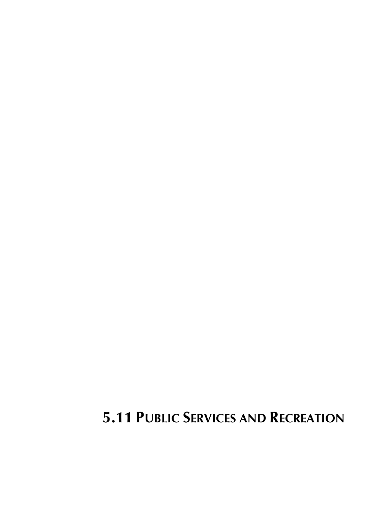# **5.11 PUBLIC SERVICES AND RECREATION**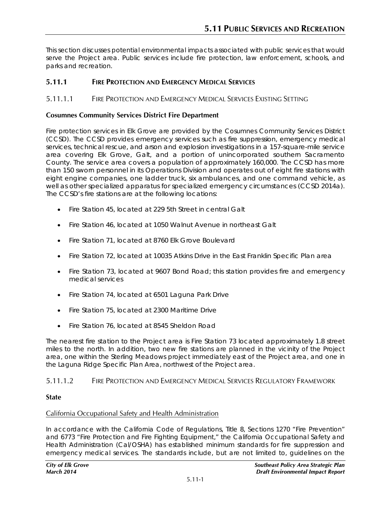This section discusses potential environmental impacts associated with public services that would serve the Project area. Public services include fire protection, law enforcement, schools, and parks and recreation.

# **5.11.1 FIRE PROTECTION AND EMERGENCY MEDICAL SERVICES**

# 5.11.1.1 FIRE PROTECTION AND EMERGENCY MEDICAL SERVICES EXISTING SETTING

# **Cosumnes Community Services District Fire Department**

Fire protection services in Elk Grove are provided by the Cosumnes Community Services District (CCSD). The CCSD provides emergency services such as fire suppression, emergency medical services, technical rescue, and arson and explosion investigations in a 157-square-mile service area covering Elk Grove, Galt, and a portion of unincorporated southern Sacramento County. The service area covers a population of approximately 160,000. The CCSD has more than 150 sworn personnel in its Operations Division and operates out of eight fire stations with eight engine companies, one ladder truck, six ambulances, and one command vehicle, as well as other specialized apparatus for specialized emergency circumstances (CCSD 2014a). The CCSD's fire stations are at the following locations:

- Fire Station 45, located at 229 5th Street in central Galt
- Fire Station 46, located at 1050 Walnut Avenue in northeast Galt
- Fire Station 71, located at 8760 Elk Grove Boulevard
- Fire Station 72, located at 10035 Atkins Drive in the East Franklin Specific Plan area
- Fire Station 73, located at 9607 Bond Road; this station provides fire and emergency medical services
- Fire Station 74, located at 6501 Laguna Park Drive
- Fire Station 75, located at 2300 Maritime Drive
- Fire Station 76, located at 8545 Sheldon Road

The nearest fire station to the Project area is Fire Station 73 located approximately 1.8 street miles to the north. In addition, two new fire stations are planned in the vicinity of the Project area, one within the Sterling Meadows project immediately east of the Project area, and one in the Laguna Ridge Specific Plan Area, northwest of the Project area.

# 5.11.1.2 FIRE PROTECTION AND EMERGENCY MEDICAL SERVICES REGULATORY FRAMEWORK

## **State**

## California Occupational Safety and Health Administration

In accordance with the California Code of Regulations, Title 8, Sections 1270 "Fire Prevention" and 6773 "Fire Protection and Fire Fighting Equipment," the California Occupational Safety and Health Administration (Cal/OSHA) has established minimum standards for fire suppression and emergency medical services. The standards include, but are not limited to, guidelines on the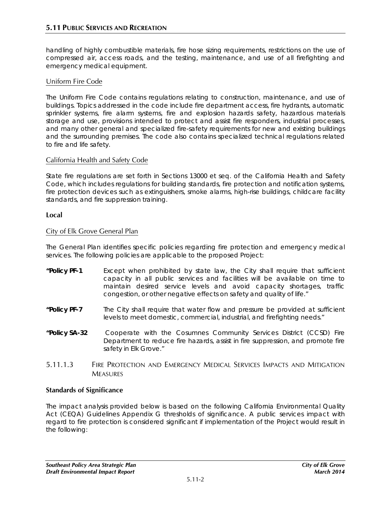handling of highly combustible materials, fire hose sizing requirements, restrictions on the use of compressed air, access roads, and the testing, maintenance, and use of all firefighting and emergency medical equipment.

# Uniform Fire Code

The Uniform Fire Code contains regulations relating to construction, maintenance, and use of buildings. Topics addressed in the code include fire department access, fire hydrants, automatic sprinkler systems, fire alarm systems, fire and explosion hazards safety, hazardous materials storage and use, provisions intended to protect and assist fire responders, industrial processes, and many other general and specialized fire-safety requirements for new and existing buildings and the surrounding premises. The code also contains specialized technical regulations related to fire and life safety.

# California Health and Safety Code

State fire regulations are set forth in Sections 13000 et seq. of the California Health and Safety Code, which includes regulations for building standards, fire protection and notification systems, fire protection devices such as extinguishers, smoke alarms, high-rise buildings, childcare facility standards, and fire suppression training.

# **Local**

# City of Elk Grove General Plan

The General Plan identifies specific policies regarding fire protection and emergency medical services. The following policies are applicable to the proposed Project:

- **"Policy PF-1** Except when prohibited by state law, the City shall require that sufficient capacity in all public services and facilities will be available on time to maintain desired service levels and avoid capacity shortages, traffic congestion, or other negative effects on safety and quality of life."
- **"Policy PF-7** The City shall require that water flow and pressure be provided at sufficient levels to meet domestic, commercial, industrial, and firefighting needs."
- **"Policy SA-32** Cooperate with the Cosumnes Community Services District (CCSD) Fire Department to reduce fire hazards, assist in fire suppression, and promote fire safety in Elk Grove."
- 5.11.1.3 FIRE PROTECTION AND EMERGENCY MEDICAL SERVICES IMPACTS AND MITIGATION **MEASURES**

## **Standards of Significance**

The impact analysis provided below is based on the following California Environmental Quality Act (CEQA) Guidelines Appendix G thresholds of significance. A public services impact with regard to fire protection is considered significant if implementation of the Project would result in the following: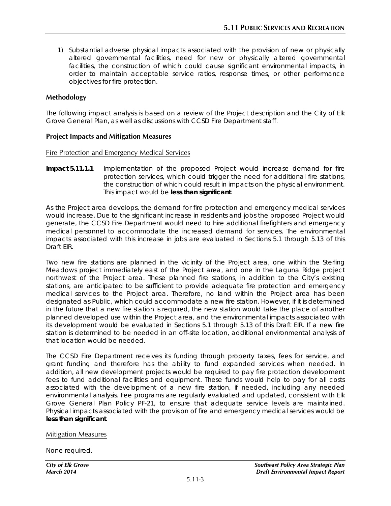1) Substantial adverse physical impacts associated with the provision of new or physically altered governmental facilities, need for new or physically altered governmental facilities, the construction of which could cause significant environmental impacts, in order to maintain acceptable service ratios, response times, or other performance objectives for fire protection.

#### **Methodology**

The following impact analysis is based on a review of the Project description and the City of Elk Grove General Plan, as well as discussions with CCSD Fire Department staff.

#### **Project Impacts and Mitigation Measures**

Fire Protection and Emergency Medical Services

**Impact 5.11.1.1** Implementation of the proposed Project would increase demand for fire protection services, which could trigger the need for additional fire stations, the construction of which could result in impacts on the physical environment. This impact would be **less than significant**.

As the Project area develops, the demand for fire protection and emergency medical services would increase. Due to the significant increase in residents and jobs the proposed Project would generate, the CCSD Fire Department would need to hire additional firefighters and emergency medical personnel to accommodate the increased demand for services. The environmental impacts associated with this increase in jobs are evaluated in Sections 5.1 through 5.13 of this Draft EIR.

Two new fire stations are planned in the vicinity of the Project area, one within the Sterling Meadows project immediately east of the Project area, and one in the Laguna Ridge project northwest of the Project area. These planned fire stations, in addition to the City's existing stations, are anticipated to be sufficient to provide adequate fire protection and emergency medical services to the Project area. Therefore, no land within the Project area has been designated as Public, which could accommodate a new fire station. However, if it is determined in the future that a new fire station is required, the new station would take the place of another planned developed use within the Project area, and the environmental impacts associated with its development would be evaluated in Sections 5.1 through 5.13 of this Draft EIR. If a new fire station is determined to be needed in an off-site location, additional environmental analysis of that location would be needed.

The CCSD Fire Department receives its funding through property taxes, fees for service, and grant funding and therefore has the ability to fund expanded services when needed. In addition, all new development projects would be required to pay fire protection development fees to fund additional facilities and equipment. These funds would help to pay for all costs associated with the development of a new fire station, if needed, including any needed environmental analysis. Fee programs are regularly evaluated and updated, consistent with Elk Grove General Plan Policy PF-21, to ensure that adequate service levels are maintained. Physical impacts associated with the provision of fire and emergency medical services would be **less than significant**.

#### Mitigation Measures

None required.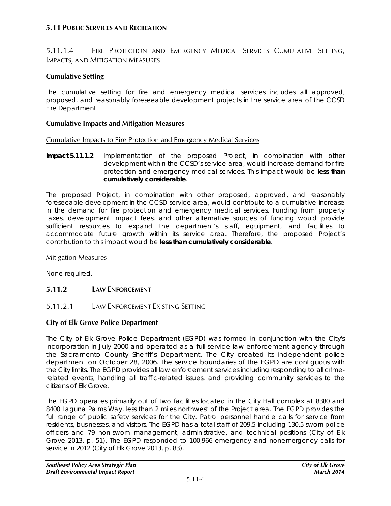5.11.1.4 FIRE PROTECTION AND EMERGENCY MEDICAL SERVICES CUMULATIVE SETTING, IMPACTS, AND MITIGATION MEASURES

# **Cumulative Setting**

The cumulative setting for fire and emergency medical services includes all approved, proposed, and reasonably foreseeable development projects in the service area of the CCSD Fire Department.

#### **Cumulative Impacts and Mitigation Measures**

#### Cumulative Impacts to Fire Protection and Emergency Medical Services

**Impact 5.11.1.2** Implementation of the proposed Project, in combination with other development within the CCSD's service area, would increase demand for fire protection and emergency medical services. This impact would be **less than cumulatively considerable**.

The proposed Project, in combination with other proposed, approved, and reasonably foreseeable development in the CCSD service area, would contribute to a cumulative increase in the demand for fire protection and emergency medical services. Funding from property taxes, development impact fees, and other alternative sources of funding would provide sufficient resources to expand the department's staff, equipment, and facilities to accommodate future growth within its service area. Therefore, the proposed Project's contribution to this impact would be **less than cumulatively considerable**.

#### Mitigation Measures

None required.

# **5.11.2 LAW ENFORCEMENT**

## 5.11.2.1 LAW ENFORCEMENT EXISTING SETTING

## **City of Elk Grove Police Department**

The City of Elk Grove Police Department (EGPD) was formed in conjunction with the City's incorporation in July 2000 and operated as a full-service law enforcement agency through the Sacramento County Sheriff's Department. The City created its independent police department on October 28, 2006. The service boundaries of the EGPD are contiguous with the City limits. The EGPD provides all law enforcement services including responding to all crimerelated events, handling all traffic-related issues, and providing community services to the citizens of Elk Grove.

The EGPD operates primarily out of two facilities located in the City Hall complex at 8380 and 8400 Laguna Palms Way, less than 2 miles northwest of the Project area. The EGPD provides the full range of public safety services for the City. Patrol personnel handle calls for service from residents, businesses, and visitors. The EGPD has a total staff of 209.5 including 130.5 sworn police officers and 79 non-sworn management, administrative, and technical positions (City of Elk Grove 2013, p. 51). The EGPD responded to 100,966 emergency and nonemergency calls for service in 2012 (City of Elk Grove 2013, p. 83).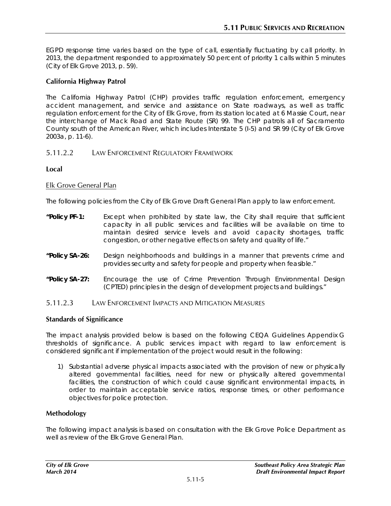EGPD response time varies based on the type of call, essentially fluctuating by call priority. In 2013, the department responded to approximately 50 percent of priority 1 calls within 5 minutes (City of Elk Grove 2013, p. 59).

# **California Highway Patrol**

The California Highway Patrol (CHP) provides traffic regulation enforcement, emergency accident management, and service and assistance on State roadways, as well as traffic regulation enforcement for the City of Elk Grove, from its station located at 6 Massie Court, near the interchange of Mack Road and State Route (SR) 99. The CHP patrols all of Sacramento County south of the American River, which includes Interstate 5 (I-5) and SR 99 (City of Elk Grove 2003a, p. 11-6).

# 5.11.2.2 LAW ENFORCEMENT REGULATORY FRAMEWORK

## **Local**

## Elk Grove General Plan

The following policies from the City of Elk Grove Draft General Plan apply to law enforcement.

- **"Policy PF-1:** Except when prohibited by state law, the City shall require that sufficient capacity in all public services and facilities will be available on time to maintain desired service levels and avoid capacity shortages, traffic congestion, or other negative effects on safety and quality of life."
- **"Policy SA-26:** Design neighborhoods and buildings in a manner that prevents crime and provides security and safety for people and property when feasible."
- **"Policy SA-27:** Encourage the use of Crime Prevention Through Environmental Design (CPTED) principles in the design of development projects and buildings."
- 5.11.2.3 LAW ENFORCEMENT IMPACTS AND MITIGATION MEASURES

## **Standards of Significance**

The impact analysis provided below is based on the following CEQA Guidelines Appendix G thresholds of significance. A public services impact with regard to law enforcement is considered significant if implementation of the project would result in the following:

1) Substantial adverse physical impacts associated with the provision of new or physically altered governmental facilities, need for new or physically altered governmental facilities, the construction of which could cause significant environmental impacts, in order to maintain acceptable service ratios, response times, or other performance objectives for police protection.

## **Methodology**

The following impact analysis is based on consultation with the Elk Grove Police Department as well as review of the Flk Grove General Plan.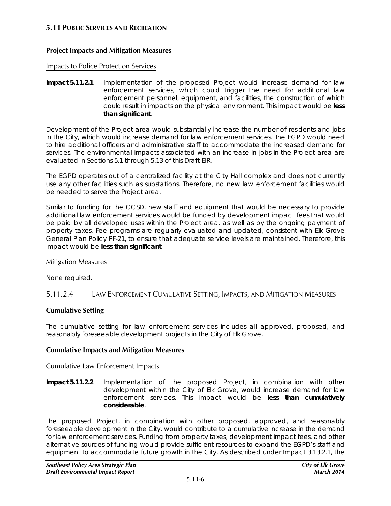## **Project Impacts and Mitigation Measures**

#### Impacts to Police Protection Services

**Impact 5.11.2.1** Implementation of the proposed Project would increase demand for law enforcement services, which could trigger the need for additional law enforcement personnel, equipment, and facilities, the construction of which could result in impacts on the physical environment. This impact would be **less than significant**.

Development of the Project area would substantially increase the number of residents and jobs in the City, which would increase demand for law enforcement services. The EGPD would need to hire additional officers and administrative staff to accommodate the increased demand for services. The environmental impacts associated with an increase in jobs in the Project area are evaluated in Sections 5.1 through 5.13 of this Draft EIR.

The EGPD operates out of a centralized facility at the City Hall complex and does not currently use any other facilities such as substations. Therefore, no new law enforcement facilities would be needed to serve the Project area.

Similar to funding for the CCSD, new staff and equipment that would be necessary to provide additional law enforcement services would be funded by development impact fees that would be paid by all developed uses within the Project area, as well as by the ongoing payment of property taxes. Fee programs are regularly evaluated and updated, consistent with Elk Grove General Plan Policy PF-21, to ensure that adequate service levels are maintained. Therefore, this impact would be **less than significant**.

#### Mitigation Measures

None required.

## 5.11.2.4 LAW ENFORCEMENT CUMULATIVE SETTING, IMPACTS, AND MITIGATION MEASURES

## **Cumulative Setting**

The cumulative setting for law enforcement services includes all approved, proposed, and reasonably foreseeable development projects in the City of Elk Grove.

## **Cumulative Impacts and Mitigation Measures**

## Cumulative Law Enforcement Impacts

**Impact 5.11.2.2** Implementation of the proposed Project, in combination with other development within the City of Elk Grove, would increase demand for law enforcement services. This impact would be **less than cumulatively considerable**.

The proposed Project, in combination with other proposed, approved, and reasonably foreseeable development in the City, would contribute to a cumulative increase in the demand for law enforcement services. Funding from property taxes, development impact fees, and other alternative sources of funding would provide sufficient resources to expand the EGPD's staff and equipment to accommodate future growth in the City. As described under Impact 3.13.2.1, the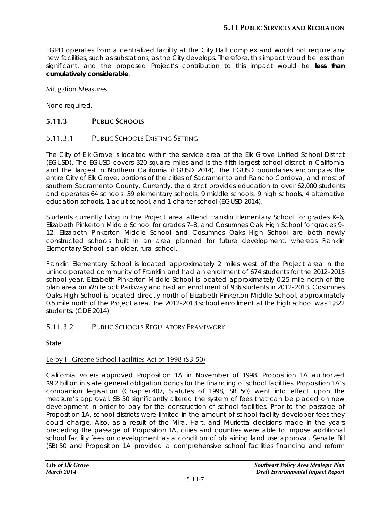EGPD operates from a centralized facility at the City Hall complex and would not require any new facilities, such as substations, as the City develops. Therefore, this impact would be less than significant, and the proposed Project's contribution to this impact would be **less than cumulatively considerable**.

#### Mitigation Measures

None required.

# **5.11.3 PUBLIC SCHOOLS**

## 5.11.3.1 PUBLIC SCHOOLS EXISTING SETTING

The City of Elk Grove is located within the service area of the Elk Grove Unified School District (EGUSD). The EGUSD covers 320 square miles and is the fifth largest school district in California and the largest in Northern California (EGUSD 2014). The EGUSD boundaries encompass the entire City of Elk Grove, portions of the cities of Sacramento and Rancho Cordova, and most of southern Sacramento County. Currently, the district provides education to over 62,000 students and operates 64 schools: 39 elementary schools, 9 middle schools, 9 high schools, 4 alternative education schools, 1 adult school, and 1 charter school (EGUSD 2014).

Students currently living in the Project area attend Franklin Elementary School for grades K–6, Elizabeth Pinkerton Middle School for grades 7–8, and Cosumnes Oak High School for grades 9– 12. Elizabeth Pinkerton Middle School and Cosumnes Oaks High School are both newly constructed schools built in an area planned for future development, whereas Franklin Elementary School is an older, rural school.

Franklin Elementary School is located approximately 2 miles west of the Project area in the unincorporated community of Franklin and had an enrollment of 674 students for the 2012–2013 school year. Elizabeth Pinkerton Middle School is located approximately 0.25 mile north of the plan area on Whitelock Parkway and had an enrollment of 936 students in 2012–2013. Cosumnes Oaks High School is located directly north of Elizabeth Pinkerton Middle School, approximately 0.5 mile north of the Project area. The 2012–2013 school enrollment at the high school was 1,822 students. (CDE 2014)

## 5.11.3.2 PUBLIC SCHOOLS REGULATORY FRAMEWORK

#### **State**

## Leroy F. Greene School Facilities Act of 1998 (SB 50)

California voters approved Proposition 1A in November of 1998. Proposition 1A authorized \$9.2 billion in state general obligation bonds for the financing of school facilities. Proposition 1A's companion legislation (Chapter 407, Statutes of 1998, SB 50) went into effect upon the measure's approval. SB 50 significantly altered the system of fees that can be placed on new development in order to pay for the construction of school facilities. Prior to the passage of Proposition 1A, school districts were limited in the amount of school facility developer fees they could charge. Also, as a result of the Mira, Hart, and Murietta decisions made in the years preceding the passage of Proposition 1A, cities and counties were able to impose additional school facility fees on development as a condition of obtaining land use approval. Senate Bill (SB) 50 and Proposition 1A provided a comprehensive school facilities financing and reform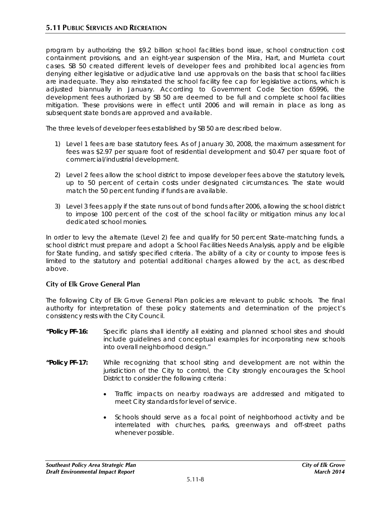program by authorizing the \$9.2 billion school facilities bond issue, school construction cost containment provisions, and an eight-year suspension of the Mira, Hart, and Murrieta court cases. SB 50 created different levels of developer fees and prohibited local agencies from denying either legislative or adjudicative land use approvals on the basis that school facilities are inadequate. They also reinstated the school facility fee cap for legislative actions, which is adjusted biannually in January. According to Government Code Section 65996, the development fees authorized by SB 50 are deemed to be full and complete school facilities mitigation. These provisions were in effect until 2006 and will remain in place as long as subsequent state bonds are approved and available.

The three levels of developer fees established by SB 50 are described below.

- 1) Level 1 fees are base statutory fees. As of January 30, 2008, the maximum assessment for fees was \$2.97 per square foot of residential development and \$0.47 per square foot of commercial/industrial development.
- 2) Level 2 fees allow the school district to impose developer fees above the statutory levels, up to 50 percent of certain costs under designated circumstances. The state would match the 50 percent funding if funds are available.
- 3) Level 3 fees apply if the state runs out of bond funds after 2006, allowing the school district to impose 100 percent of the cost of the school facility or mitigation minus any local dedicated school monies.

In order to levy the alternate (Level 2) fee and qualify for 50 percent State-matching funds, a school district must prepare and adopt a School Facilities Needs Analysis, apply and be eligible for State funding, and satisfy specified criteria. The ability of a city or county to impose fees is limited to the statutory and potential additional charges allowed by the act, as described above.

## **City of Elk Grove General Plan**

The following City of Elk Grove General Plan policies are relevant to public schools. The final authority for interpretation of these policy statements and determination of the project's consistency rests with the City Council.

- **"Policy PF-16:** Specific plans shall identify all existing and planned school sites and should include guidelines and conceptual examples for incorporating new schools into overall neighborhood design."
- **"Policy PF-17:** While recognizing that school siting and development are not within the jurisdiction of the City to control, the City strongly encourages the School District to consider the following criteria:
	- Traffic impacts on nearby roadways are addressed and mitigated to meet City standards for level of service.
	- Schools should serve as a focal point of neighborhood activity and be interrelated with churches, parks, greenways and off-street paths whenever possible.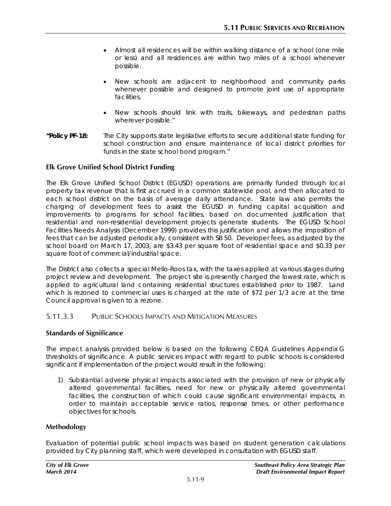- Almost all residences will be within walking distance of a school (one mile or less) and all residences are within two miles of a school whenever possible.
- New schools are adjacent to neighborhood and community parks whenever possible and designed to promote joint use of appropriate facilities.
- New schools should link with trails, bikeways, and pedestrian paths wherever possible."
- **"Policy PF-18:** The City supports state legislative efforts to secure additional state funding for school construction and ensure maintenance of local district priorities for funds in the state school bond program."

## **Elk Grove Unified School District Funding**

The Elk Grove Unified School District (EGUSD) operations are primarily funded through local property tax revenue that is first accrued in a common statewide pool, and then allocated to each school district on the basis of average daily attendance. State law also permits the charging of development fees to assist the EGUSD in funding capital acquisition and improvements to programs for school facilities, based on documented justification that residential and non-residential development projects generate students. The EGUSD School Facilities Needs Analysis (December 1999) provides this justification and allows the imposition of fees that can be adjusted periodically, consistent with SB 50. Developer fees, as adjusted by the school board on March 17, 2003, are \$3.43 per square foot of residential space and \$0.33 per square foot of commercial/industrial space.

The District also collects a special Mello-Roos tax, with the taxes applied at various stages during project review and development. The project site is presently charged the lowest rate, which is applied to agricultural land containing residential structures established prior to 1987. Land which is rezoned to commercial uses is charged at the rate of \$72 per 1/3 acre at the time Council approval is given to a rezone.

# 5.11.3.3 PUBLIC SCHOOLS IMPACTS AND MITIGATION MEASURES

## **Standards of Significance**

The impact analysis provided below is based on the following CEQA Guidelines Appendix G thresholds of significance. A public services impact with regard to public schools is considered significant if implementation of the project would result in the following:

1) Substantial adverse physical impacts associated with the provision of new or physically altered governmental facilities, need for new or physically altered governmental facilities, the construction of which could cause significant environmental impacts, in order to maintain acceptable service ratios, response times, or other performance objectives for schools.

## **Methodology**

Evaluation of potential public school impacts was based on student generation calculations provided by City planning staff, which were developed in consultation with EGUSD staff.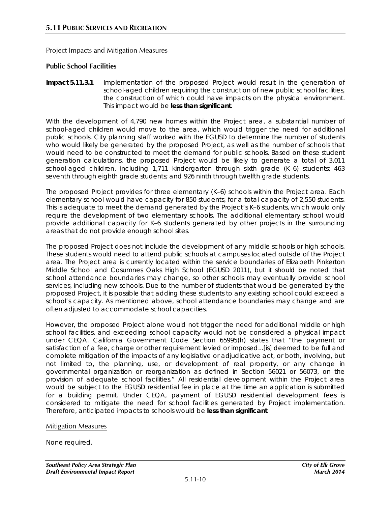# Project Impacts and Mitigation Measures

# **Public School Facilities**

**Impact 5.11.3.1** Implementation of the proposed Project would result in the generation of school-aged children requiring the construction of new public school facilities, the construction of which could have impacts on the physical environment. This impact would be **less than significant**.

With the development of 4,790 new homes within the Project area, a substantial number of school-aged children would move to the area, which would trigger the need for additional public schools. City planning staff worked with the EGUSD to determine the number of students who would likely be generated by the proposed Project, as well as the number of schools that would need to be constructed to meet the demand for public schools. Based on these student generation calculations, the proposed Project would be likely to generate a total of 3,011 school-aged children, including 1,711 kindergarten through sixth grade (K–6) students; 463 seventh through eighth grade students; and 926 ninth through twelfth grade students.

The proposed Project provides for three elementary (K–6) schools within the Project area. Each elementary school would have capacity for 850 students, for a total capacity of 2,550 students. This is adequate to meet the demand generated by the Project's K–6 students, which would only require the development of two elementary schools. The additional elementary school would provide additional capacity for K–6 students generated by other projects in the surrounding areas that do not provide enough school sites.

The proposed Project does not include the development of any middle schools or high schools. These students would need to attend public schools at campuses located outside of the Project area. The Project area is currently located within the service boundaries of Elizabeth Pinkerton Middle School and Cosumnes Oaks High School (EGUSD 2011), but it should be noted that school attendance boundaries may change, so other schools may eventually provide school services, including new schools. Due to the number of students that would be generated by the proposed Project, it is possible that adding these students to any existing school could exceed a school's capacity. As mentioned above, school attendance boundaries may change and are often adjusted to accommodate school capacities.

However, the proposed Project alone would not trigger the need for additional middle or high school facilities, and exceeding school capacity would not be considered a physical impact under CEQA. California Government Code Section 65995(h) states that "the payment or satisfaction of a fee, charge or other requirement levied or imposed...[is] deemed to be full and complete mitigation of the impacts of any legislative or adjudicative act, or both, involving, but not limited to, the planning, use, or development of real property, or any change in governmental organization or reorganization as defined in Section 56021 or 56073, on the provision of adequate school facilities." All residential development within the Project area would be subject to the EGUSD residential fee in place at the time an application is submitted for a building permit. Under CEQA, payment of EGUSD residential development fees is considered to mitigate the need for school facilities generated by Project implementation. Therefore, anticipated impacts to schools would be **less than significant**.

## Mitigation Measures

None required.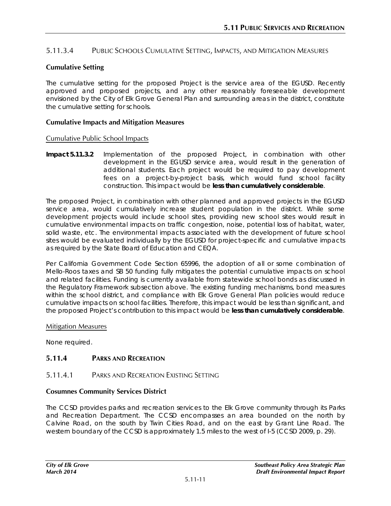# 5.11.3.4 PUBLIC SCHOOLS CUMULATIVE SETTING, IMPACTS, AND MITIGATION MEASURES

## **Cumulative Setting**

The cumulative setting for the proposed Project is the service area of the EGUSD. Recently approved and proposed projects, and any other reasonably foreseeable development envisioned by the City of Elk Grove General Plan and surrounding areas in the district, constitute the cumulative setting for schools.

#### **Cumulative Impacts and Mitigation Measures**

#### Cumulative Public School Impacts

**Impact 5.11.3.2** Implementation of the proposed Project, in combination with other development in the EGUSD service area, would result in the generation of additional students. Each project would be required to pay development fees on a project-by-project basis, which would fund school facility construction. This impact would be **less than cumulatively considerable**.

The proposed Project, in combination with other planned and approved projects in the EGUSD service area, would cumulatively increase student population in the district. While some development projects would include school sites, providing new school sites would result in cumulative environmental impacts on traffic congestion, noise, potential loss of habitat, water, solid waste, etc. The environmental impacts associated with the development of future school sites would be evaluated individually by the EGUSD for project-specific and cumulative impacts as required by the State Board of Education and CEQA.

Per California Government Code Section 65996, the adoption of all or some combination of Mello-Roos taxes and SB 50 funding fully mitigates the potential cumulative impacts on school and related facilities. Funding is currently available from statewide school bonds as discussed in the Regulatory Framework subsection above. The existing funding mechanisms, bond measures within the school district, and compliance with Elk Grove General Plan policies would reduce cumulative impacts on school facilities. Therefore, this impact would be less than significant, and the proposed Project's contribution to this impact would be **less than cumulatively considerable**.

#### Mitigation Measures

None required.

# **5.11.4 PARKS AND RECREATION**

## 5.11.4.1 PARKS AND RECREATION EXISTING SETTING

## **Cosumnes Community Services District**

The CCSD provides parks and recreation services to the Elk Grove community through its Parks and Recreation Department. The CCSD encompasses an area bounded on the north by Calvine Road, on the south by Twin Cities Road, and on the east by Grant Line Road. The western boundary of the CCSD is approximately 1.5 miles to the west of I-5 (CCSD 2009, p. 29).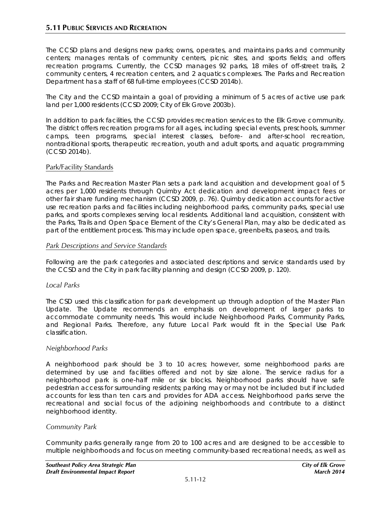The CCSD plans and designs new parks; owns, operates, and maintains parks and community centers; manages rentals of community centers, picnic sites, and sports fields; and offers recreation programs. Currently, the CCSD manages 92 parks, 18 miles of off-street trails, 2 community centers, 4 recreation centers, and 2 aquatics complexes. The Parks and Recreation Department has a staff of 68 full-time employees (CCSD 2014b).

The City and the CCSD maintain a goal of providing a minimum of 5 acres of active use park land per 1,000 residents (CCSD 2009; City of Elk Grove 2003b).

In addition to park facilities, the CCSD provides recreation services to the Elk Grove community. The district offers recreation programs for all ages, including special events, preschools, summer camps, teen programs, special interest classes, before- and after-school recreation, nontraditional sports, therapeutic recreation, youth and adult sports, and aquatic programming (CCSD 2014b).

## Park/Facility Standards

The Parks and Recreation Master Plan sets a park land acquisition and development goal of 5 acres per 1,000 residents through Quimby Act dedication and development impact fees or other fair share funding mechanism (CCSD 2009, p. 76). Quimby dedication accounts for active use recreation parks and facilities including neighborhood parks, community parks, special use parks, and sports complexes serving local residents. Additional land acquisition, consistent with the Parks, Trails and Open Space Element of the City's General Plan, may also be dedicated as part of the entitlement process. This may include open space, greenbelts, paseos, and trails.

#### *Park Descriptions and Service Standards*

Following are the park categories and associated descriptions and service standards used by the CCSD and the City in park facility planning and design (CCSD 2009, p. 120).

## *Local Parks*

The CSD used this classification for park development up through adoption of the Master Plan Update. The Update recommends an emphasis on development of larger parks to accommodate community needs. This would include Neighborhood Parks, Community Parks, and Regional Parks. Therefore, any future Local Park would fit in the Special Use Park classification.

## *Neighborhood Parks*

A neighborhood park should be 3 to 10 acres; however, some neighborhood parks are determined by use and facilities offered and not by size alone. The service radius for a neighborhood park is one-half mile or six blocks. Neighborhood parks should have safe pedestrian access for surrounding residents; parking may or may not be included but if included accounts for less than ten cars and provides for ADA access. Neighborhood parks serve the recreational and social focus of the adjoining neighborhoods and contribute to a distinct neighborhood identity.

## *Community Park*

Community parks generally range from 20 to 100 acres and are designed to be accessible to multiple neighborhoods and focus on meeting community‐based recreational needs, as well as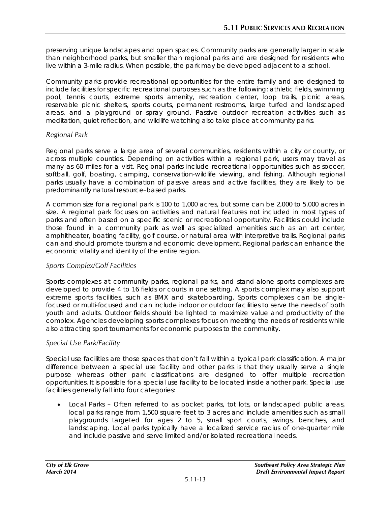preserving unique landscapes and open spaces. Community parks are generally larger in scale than neighborhood parks, but smaller than regional parks and are designed for residents who live within a 3‐mile radius. When possible, the park may be developed adjacent to a school.

Community parks provide recreational opportunities for the entire family and are designed to include facilities for specific recreational purposes such as the following: athletic fields, swimming pool, tennis courts, extreme sports amenity, recreation center, loop trails, picnic areas, reservable picnic shelters, sports courts, permanent restrooms, large turfed and landscaped areas, and a playground or spray ground. Passive outdoor recreation activities such as meditation, quiet reflection, and wildlife watching also take place at community parks.

## *Regional Park*

Regional parks serve a large area of several communities, residents within a city or county, or across multiple counties. Depending on activities within a regional park, users may travel as many as 60 miles for a visit. Regional parks include recreational opportunities such as soccer, softball, golf, boating, camping, conservation-wildlife viewing, and fishing. Although regional parks usually have a combination of passive areas and active facilities, they are likely to be predominantly natural resource–based parks.

A common size for a regional park is 100 to 1,000 acres, but some can be 2,000 to 5,000 acres in size. A regional park focuses on activities and natural features not included in most types of parks and often based on a specific scenic or recreational opportunity. Facilities could include those found in a community park as well as specialized amenities such as an art center, amphitheater, boating facility, golf course, or natural area with interpretive trails. Regional parks can and should promote tourism and economic development. Regional parks can enhance the economic vitality and identity of the entire region.

## *Sports Complex/Golf Facilities*

Sports complexes at community parks, regional parks, and stand‐alone sports complexes are developed to provide 4 to 16 fields or courts in one setting. A sports complex may also support extreme sports facilities, such as BMX and skateboarding. Sports complexes can be singlefocused or multi‐focused and can include indoor or outdoor facilities to serve the needs of both youth and adults. Outdoor fields should be lighted to maximize value and productivity of the complex. Agencies developing sports complexes focus on meeting the needs of residents while also attracting sport tournaments for economic purposes to the community.

## *Special Use Park/Facility*

Special use facilities are those spaces that don't fall within a typical park classification. A major difference between a special use facility and other parks is that they usually serve a single purpose whereas other park classifications are designed to offer multiple recreation opportunities. It is possible for a special use facility to be located inside another park. Special use facilities generally fall into four categories:

• Local Parks – Often referred to as pocket parks, tot lots, or landscaped public areas, local parks range from 1,500 square feet to 3 acres and include amenities such as small playgrounds targeted for ages 2 to 5, small sport courts, swings, benches, and landscaping. Local parks typically have a localized service radius of one-quarter mile and include passive and serve limited and/or isolated recreational needs.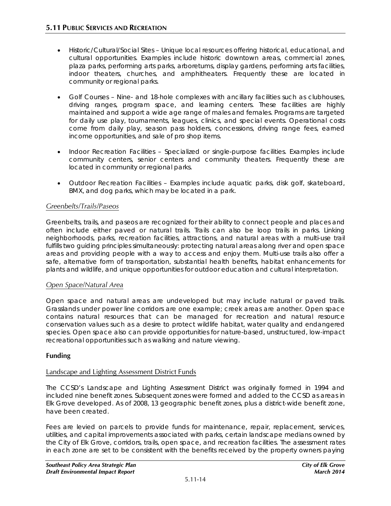- Historic/Cultural/Social Sites Unique local resources offering historical, educational, and cultural opportunities. Examples include historic downtown areas, commercial zones, plaza parks, performing arts parks, arboretums, display gardens, performing arts facilities, indoor theaters, churches, and amphitheaters. Frequently these are located in community or regional parks.
- Golf Courses Nine- and 18-hole complexes with ancillary facilities such as clubhouses, driving ranges, program space, and learning centers. These facilities are highly maintained and support a wide age range of males and females. Programs are targeted for daily use play, tournaments, leagues, clinics, and special events. Operational costs come from daily play, season pass holders, concessions, driving range fees, earned income opportunities, and sale of pro shop items.
- Indoor Recreation Facilities Specialized or single-purpose facilities. Examples include community centers, senior centers and community theaters. Frequently these are located in community or regional parks.
- Outdoor Recreation Facilities Examples include aquatic parks, disk golf, skateboard, BMX, and dog parks, which may be located in a park.

# *Greenbelts/Trails/Paseos*

Greenbelts, trails, and paseos are recognized for their ability to connect people and places and often include either paved or natural trails. Trails can also be loop trails in parks. Linking neighborhoods, parks, recreation facilities, attractions, and natural areas with a multi-use trail fulfills two guiding principles simultaneously: protecting natural areas along river and open space areas and providing people with a way to access and enjoy them. Multi-use trails also offer a safe, alternative form of transportation, substantial health benefits, habitat enhancements for plants and wildlife, and unique opportunities for outdoor education and cultural interpretation.

## *Open Space/Natural Area*

Open space and natural areas are undeveloped but may include natural or paved trails. Grasslands under power line corridors are one example; creek areas are another. Open space contains natural resources that can be managed for recreation and natural resource conservation values such as a desire to protect wildlife habitat, water quality and endangered species. Open space also can provide opportunities for nature-based, unstructured, low-impact recreational opportunities such as walking and nature viewing.

## **Funding**

## Landscape and Lighting Assessment District Funds

The CCSD's Landscape and Lighting Assessment District was originally formed in 1994 and included nine benefit zones. Subsequent zones were formed and added to the CCSD as areas in Elk Grove developed. As of 2008, 13 geographic benefit zones, plus a district‐wide benefit zone, have been created.

Fees are levied on parcels to provide funds for maintenance, repair, replacement, services, utilities, and capital improvements associated with parks, certain landscape medians owned by the City of Elk Grove, corridors, trails, open space, and recreation facilities. The assessment rates in each zone are set to be consistent with the benefits received by the property owners paying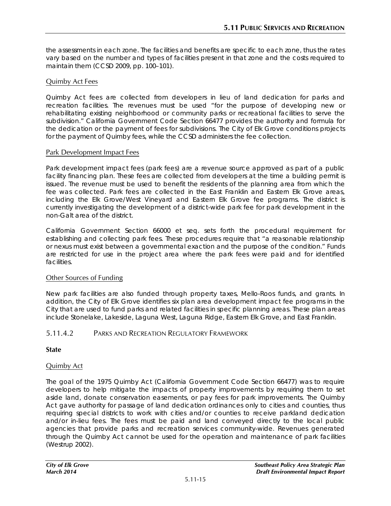the assessments in each zone. The facilities and benefits are specific to each zone, thus the rates vary based on the number and types of facilities present in that zone and the costs required to maintain them (CCSD 2009, pp. 100–101).

# Quimby Act Fees

Quimby Act fees are collected from developers in lieu of land dedication for parks and recreation facilities. The revenues must be used "for the purpose of developing new or rehabilitating existing neighborhood or community parks or recreational facilities to serve the subdivision." California Government Code Section 66477 provides the authority and formula for the dedication or the payment of fees for subdivisions. The City of Elk Grove conditions projects for the payment of Quimby fees, while the CCSD administers the fee collection.

#### Park Development Impact Fees

Park development impact fees (park fees) are a revenue source approved as part of a public facility financing plan. These fees are collected from developers at the time a building permit is issued. The revenue must be used to benefit the residents of the planning area from which the fee was collected. Park fees are collected in the East Franklin and Eastern Elk Grove areas, including the Elk Grove/West Vineyard and Eastern Elk Grove fee programs. The district is currently investigating the development of a district-wide park fee for park development in the non-Galt area of the district.

California Government Section 66000 et seq. sets forth the procedural requirement for establishing and collecting park fees. These procedures require that "a reasonable relationship or nexus must exist between a governmental exaction and the purpose of the condition." Funds are restricted for use in the project area where the park fees were paid and for identified facilities.

## Other Sources of Funding

New park facilities are also funded through property taxes, Mello-Roos funds, and grants. In addition, the City of Elk Grove identifies six plan area development impact fee programs in the City that are used to fund parks and related facilities in specific planning areas. These plan areas include Stonelake, Lakeside, Laguna West, Laguna Ridge, Eastern Elk Grove, and East Franklin.

## 5.11.4.2 PARKS AND RECREATION REGULATORY FRAMEWORK

## **State**

## Quimby Act

The goal of the 1975 Quimby Act (California Government Code Section 66477) was to require developers to help mitigate the impacts of property improvements by requiring them to set aside land, donate conservation easements, or pay fees for park improvements. The Quimby Act gave authority for passage of land dedication ordinances only to cities and counties, thus requiring special districts to work with cities and/or counties to receive parkland dedication and/or in-lieu fees. The fees must be paid and land conveyed directly to the local public agencies that provide parks and recreation services community-wide. Revenues generated through the Quimby Act cannot be used for the operation and maintenance of park facilities (Westrup 2002).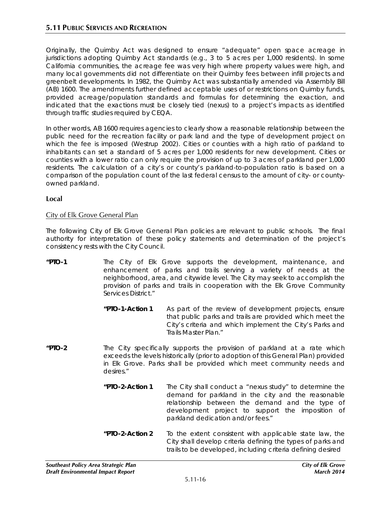Originally, the Quimby Act was designed to ensure "adequate" open space acreage in jurisdictions adopting Quimby Act standards (e.g., 3 to 5 acres per 1,000 residents). In some California communities, the acreage fee was very high where property values were high, and many local governments did not differentiate on their Quimby fees between infill projects and greenbelt developments. In 1982, the Quimby Act was substantially amended via Assembly Bill (AB) 1600. The amendments further defined acceptable uses of or restrictions on Quimby funds, provided acreage/population standards and formulas for determining the exaction, and indicated that the exactions must be closely tied (nexus) to a project's impacts as identified through traffic studies required by CEQA.

In other words, AB 1600 requires agencies to clearly show a reasonable relationship between the public need for the recreation facility or park land and the type of development project on which the fee is imposed (Westrup 2002). Cities or counties with a high ratio of parkland to inhabitants can set a standard of 5 acres per 1,000 residents for new development. Cities or counties with a lower ratio can only require the provision of up to 3 acres of parkland per 1,000 residents. The calculation of a city's or county's parkland-to-population ratio is based on a comparison of the population count of the last federal census to the amount of city- or countyowned parkland.

## **Local**

# City of Elk Grove General Plan

The following City of Elk Grove General Plan policies are relevant to public schools. The final authority for interpretation of these policy statements and determination of the project's consistency rests with the City Council.

- **"PTO-1** The City of Elk Grove supports the development, maintenance, and enhancement of parks and trails serving a variety of needs at the neighborhood, area, and citywide level. The City may seek to accomplish the provision of parks and trails in cooperation with the Elk Grove Community Services District."
	- *"PTO-1-Action 1* As part of the review of development projects, ensure that public parks and trails are provided which meet the City's criteria and which implement the City's Parks and Trails Master Plan."
- **"PTO-2** The City specifically supports the provision of parkland at a rate which exceeds the levels historically (prior to adoption of this General Plan) provided in Elk Grove. Parks shall be provided which meet community needs and desires."
	- *"PTO-2-Action 1* The City shall conduct a "nexus study" to determine the demand for parkland in the city and the reasonable relationship between the demand and the type of development project to support the imposition of parkland dedication and/or fees."
	- **"PTO-2-Action 2** To the extent consistent with applicable state law, the City shall develop criteria defining the types of parks and trails to be developed, including criteria defining desired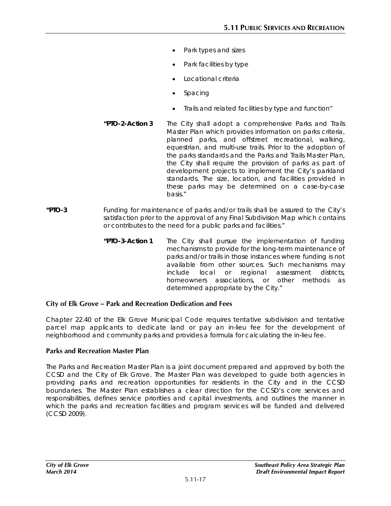- Park types and sizes
- Park facilities by type
- Locational criteria
- Spacing
- Trails and related facilities by type and function"
- *"PTO-2-Action 3 The City shall adopt a comprehensive Parks and Trails*  Master *Plan which provides information on parks criteria, planned parks, and offstreet recreational, walking, equestrian, and multi-use trails. Prior to the adoption of the parks standards and the Parks and Trails Master Plan, the City shall require the provision of parks as part of development projects to implement the City's parkland standards. The size, location, and facilities provided in these parks may be determined on a case-by-case basis."*
- **"PTO-3** Funding for maintenance of parks and/or trails shall be assured to the City's satisfaction prior to the approval of any Final Subdivision Map which contains or contributes to the need for a public parks and facilities."
	- *"PTO-3-Action 1 The City shall pursue the implementation of funding mechanisms to provide for the long-term maintenance of parks and/or trails in those instances where funding is not available* from *other sources. Such mechanisms may include local or regional assessment districts, homeowners associations, or other methods as determined appropriate by the City."*

## **City of Elk Grove – Park and Recreation Dedication and Fees**

Chapter 22.40 of the Elk Grove Municipal Code requires tentative subdivision and tentative parcel map applicants to dedicate land or pay an in-lieu fee for the development of neighborhood and community parks and provides a formula for calculating the in-lieu fee.

#### **Parks and Recreation Master Plan**

The Parks and Recreation Master Plan is a joint document prepared and approved by both the CCSD and the City of Elk Grove. The Master Plan was developed to guide both agencies in providing parks and recreation opportunities for residents in the City and in the CCSD boundaries. The Master Plan establishes a clear direction for the CCSD's core services and responsibilities, defines service priorities and capital investments, and outlines the manner in which the parks and recreation facilities and program services will be funded and delivered (CCSD 2009).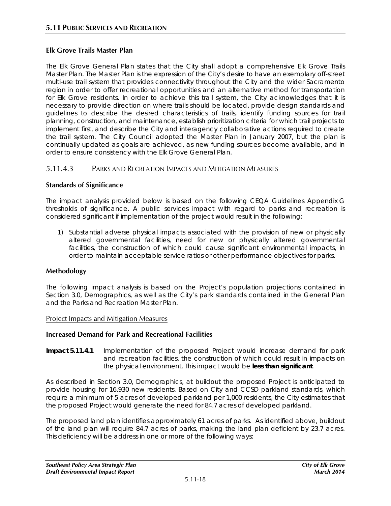# **Elk Grove Trails Master Plan**

The Elk Grove General Plan states that the City shall adopt a comprehensive Elk Grove Trails Master Plan. The Master Plan is the expression of the City's desire to have an exemplary off-street multi-use trail system that provides connectivity throughout the City and the wider Sacramento region in order to offer recreational opportunities and an alternative method for transportation for Elk Grove residents. In order to achieve this trail system, the City acknowledges that it is necessary to provide direction on where trails should be located, provide design standards and guidelines to describe the desired characteristics of trails, identify funding sources for trail planning, construction, and maintenance, establish prioritization criteria for which trail projects to implement first, and describe the City and interagency collaborative actions required to create the trail system. The City Council adopted the Master Plan in January 2007, but the plan is continually updated as goals are achieved, as new funding sources become available, and in order to ensure consistency with the Elk Grove General Plan.

# 5.11.4.3 PARKS AND RECREATION IMPACTS AND MITIGATION MEASURES

## **Standards of Significance**

The impact analysis provided below is based on the following CEQA Guidelines Appendix G thresholds of significance. A public services impact with regard to parks and recreation is considered significant if implementation of the project would result in the following:

1) Substantial adverse physical impacts associated with the provision of new or physically altered governmental facilities, need for new or physically altered governmental facilities, the construction of which could cause significant environmental impacts, in order to maintain acceptable service ratios or other performance objectives for parks.

## **Methodology**

The following impact analysis is based on the Project's population projections contained in Section 3.0, Demographics, as well as the City's park standards contained in the General Plan and the Parks and Recreation Master Plan.

#### Project Impacts and Mitigation Measures

## **Increased Demand for Park and Recreational Facilities**

**Impact 5.11.4.1** Implementation of the proposed Project would increase demand for park and recreation facilities, the construction of which could result in impacts on the physical environment. This impact would be **less than significant**.

As described in Section 3.0, Demographics, at buildout the proposed Project is anticipated to provide housing for 16,930 new residents. Based on City and CCSD parkland standards, which require a minimum of 5 acres of developed parkland per 1,000 residents, the City estimates that the proposed Project would generate the need for 84.7 acres of developed parkland.

The proposed land plan identifies approximately 61 acres of parks. As identified above, buildout of the land plan will require 84.7 acres of parks, making the land plan deficient by 23.7 acres. This deficiency will be address in one or more of the following ways: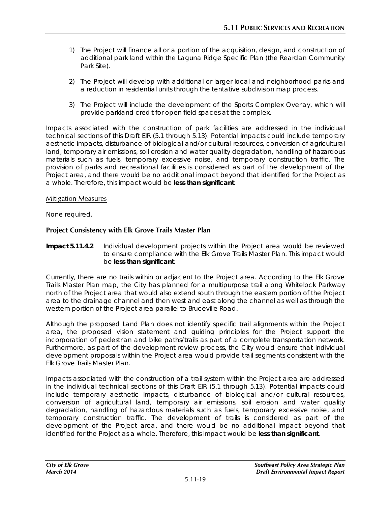- *1)* The Project will finance all or a portion of the acquisition, design, and construction of additional park land within the Laguna Ridge Specific Plan (the Reardan Community Park Site).
- *2)* The Project will develop with additional or larger local and neighborhood parks and a reduction in residential units through the tentative subdivision map process.
- *3)* The Project will include the development of the Sports Complex Overlay, which will provide parkland credit for open field spaces at the complex.

Impacts associated with the construction of park facilities are addressed in the individual technical sections of this Draft EIR (5.1 through 5.13). Potential impacts could include temporary aesthetic impacts, disturbance of biological and/or cultural resources, conversion of agricultural land, temporary air emissions, soil erosion and water quality degradation, handling of hazardous materials such as fuels, temporary excessive noise, and temporary construction traffic. The provision of parks and recreational facilities is considered as part of the development of the Project area, and there would be no additional impact beyond that identified for the Project as a whole. Therefore, this impact would be **less than significant**.

## Mitigation Measures

None required.

## **Project Consistency with Elk Grove Trails Master Plan**

**Impact 5.11.4.2** Individual development projects within the Project area would be reviewed to ensure compliance with the Elk Grove Trails Master Plan. This impact would be **less than significant**.

Currently, there are no trails within or adjacent to the Project area. According to the Elk Grove Trails Master Plan map, the City has planned for a multipurpose trail along Whitelock Parkway north of the Project area that would also extend south through the eastern portion of the Project area to the drainage channel and then west and east along the channel as well as through the western portion of the Project area parallel to Bruceville Road.

Although the proposed Land Plan does not identify specific trail alignments within the Project area, the proposed vision statement and guiding principles for the Project support the incorporation of pedestrian and bike paths/trails as part of a complete transportation network. Furthermore, as part of the development review process, the City would ensure that individual development proposals within the Project area would provide trail segments consistent with the Elk Grove Trails Master Plan.

Impacts associated with the construction of a trail system within the Project area are addressed in the individual technical sections of this Draft EIR (5.1 through 5.13). Potential impacts could include temporary aesthetic impacts, disturbance of biological and/or cultural resources, conversion of agricultural land, temporary air emissions, soil erosion and water quality degradation, handling of hazardous materials such as fuels, temporary excessive noise, and temporary construction traffic. The development of trails is considered as part of the development of the Project area, and there would be no additional impact beyond that identified for the Project as a whole. Therefore, this impact would be **less than significant**.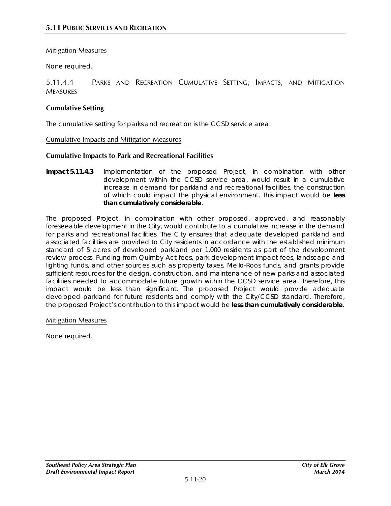## Mitigation Measures

None required.

5.11.4.4 PARKS AND RECREATION CUMULATIVE SETTING, IMPACTS, AND MITIGATION **MEASURES** 

#### **Cumulative Setting**

The cumulative setting for parks and recreation is the CCSD service area.

Cumulative Impacts and Mitigation Measures

#### **Cumulative Impacts to Park and Recreational Facilities**

**Impact 5.11.4.3** Implementation of the proposed Project, in combination with other development within the CCSD service area, would result in a cumulative increase in demand for parkland and recreational facilities, the construction of which could impact the physical environment. This impact would be **less than cumulatively considerable**.

The proposed Project, in combination with other proposed, approved, and reasonably foreseeable development in the City, would contribute to a cumulative increase in the demand for parks and recreational facilities. The City ensures that adequate developed parkland and associated facilities are provided to City residents in accordance with the established minimum standard of 5 acres of developed parkland per 1,000 residents as part of the development review process. Funding from Quimby Act fees, park development impact fees, landscape and lighting funds, and other sources such as property taxes, Mello-Roos funds, and grants provide sufficient resources for the design, construction, and maintenance of new parks and associated facilities needed to accommodate future growth within the CCSD service area. Therefore, this impact would be less than significant. The proposed Project would provide adequate developed parkland for future residents and comply with the City/CCSD standard. Therefore, the proposed Project's contribution to this impact would be **less than cumulatively considerable**.

#### Mitigation Measures

None required.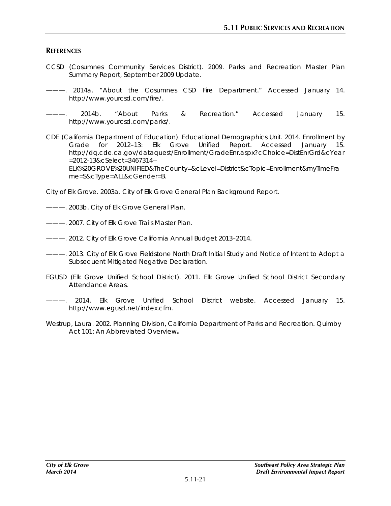## **REFERENCES**

- CCSD (Cosumnes Community Services District). 2009. *Parks and Recreation Master Plan Summary Report, September 2009 Update*.
- ———. 2014a. "About the Cosumnes CSD Fire Department." Accessed January 14. http://www.yourcsd.com/fire/.

———. 2014b. "About Parks & Recreation." Accessed January 15. http://www.yourcsd.com/parks/.

CDE (California Department of Education). Educational Demographics Unit. 2014. *Enrollment by Grade for 2012–13: Elk Grove Unified Report*. Accessed January 15. http://dq.cde.ca.gov/dataquest/Enrollment/GradeEnr.aspx?cChoice=DistEnrGrd&cYear =2012-13&cSelect=3467314-- ELK%20GROVE%20UNIFIED&TheCounty=&cLevel=District&cTopic=Enrollment&myTimeFra

me=S&cType=ALL&cGender=B.

City of Elk Grove. 2003a. *City of Elk Grove General Plan Background Report*.

———. 2003b. *City of Elk Grove General Plan*.

———. 2007. *City of Elk Grove Trails Master Plan*.

- ———. 2012. *City of Elk Grove California Annual Budget 2013–2014*.
- ———. 2013. *City of Elk Grove Fieldstone North Draft Initial Study and Notice of Intent to Adopt a Subsequent Mitigated Negative Declaration*.
- EGUSD (Elk Grove Unified School District). 2011. *Elk Grove Unified School District Secondary Attendance Areas*.
- ———. 2014. Elk Grove Unified School District website. Accessed January 15. http://www.egusd.net/index.cfm.
- Westrup, Laura. 2002. Planning Division, California Department of Parks and Recreation. *Quimby Act 101: An Abbreviated Overview***.**